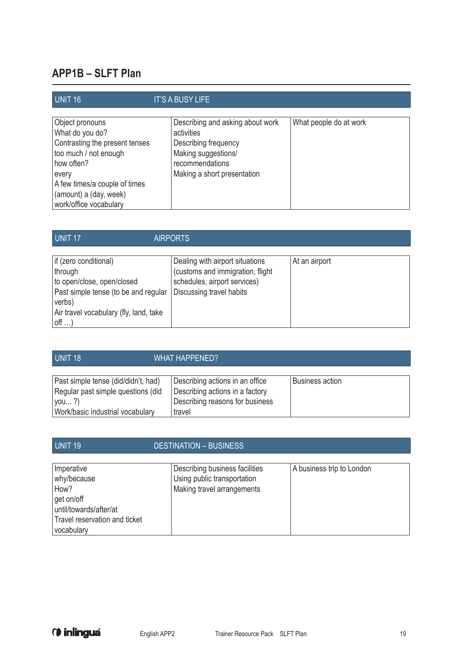## **APP1B – SLFT Plan**

| UNIT <sub>16</sub>                                                                                                                                                                                        | <b>IT'S A BUSY LIFE</b>                                                                                                                         |                        |
|-----------------------------------------------------------------------------------------------------------------------------------------------------------------------------------------------------------|-------------------------------------------------------------------------------------------------------------------------------------------------|------------------------|
| Object pronouns<br>What do you do?<br>Contrasting the present tenses<br>too much / not enough<br>how often?<br>every<br>A few times/a couple of times<br>(amount) a (day, week)<br>work/office vocabulary | Describing and asking about work<br>activities<br>Describing frequency<br>Making suggestions/<br>recommendations<br>Making a short presentation | What people do at work |

## UNIT 17 AIRPORTS

| if (zero conditional)<br>through<br>to open/close, open/closed<br>Past simple tense (to be and regular<br>verbs)<br>Air travel vocabulary (fly, land, take<br>$off$ | Dealing with airport situations<br>(customs and immigration, flight<br>schedules, airport services)<br>Discussing travel habits | At an airport |
|---------------------------------------------------------------------------------------------------------------------------------------------------------------------|---------------------------------------------------------------------------------------------------------------------------------|---------------|
|---------------------------------------------------------------------------------------------------------------------------------------------------------------------|---------------------------------------------------------------------------------------------------------------------------------|---------------|

| UNIT <sub>18</sub>                                                                | WHAT HAPPENED?                                                                                        |                        |
|-----------------------------------------------------------------------------------|-------------------------------------------------------------------------------------------------------|------------------------|
| Past simple tense (did/didn't, had)<br>Regular past simple questions (did<br>you? | Describing actions in an office<br>Describing actions in a factory<br>Describing reasons for business | <b>Business action</b> |
| Work/basic industrial vocabulary                                                  | travel                                                                                                |                        |

| UNIT <sub>19</sub>                                                                                                       | <b>DESTINATION - BUSINESS</b>                                                               |                           |
|--------------------------------------------------------------------------------------------------------------------------|---------------------------------------------------------------------------------------------|---------------------------|
| Imperative<br>why/because<br>How?<br>get on/off<br>until/towards/after/at<br>Travel reservation and ticket<br>vocabulary | Describing business facilities<br>Using public transportation<br>Making travel arrangements | A business trip to London |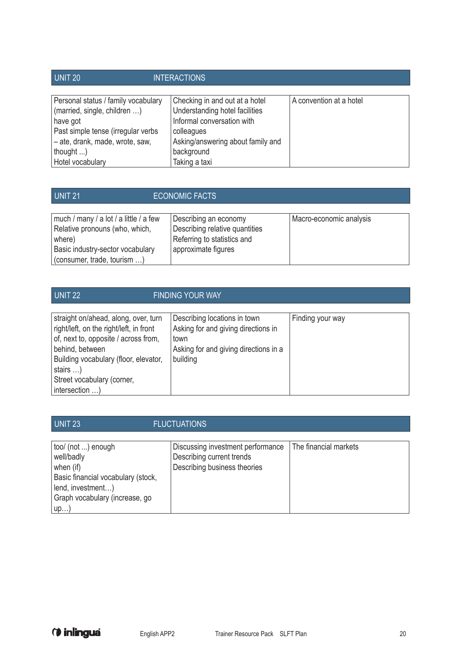| UNIT 20                                                                                                                                                                                            | <b>INTERACTIONS</b>                                                                                                                                                              |                         |
|----------------------------------------------------------------------------------------------------------------------------------------------------------------------------------------------------|----------------------------------------------------------------------------------------------------------------------------------------------------------------------------------|-------------------------|
| Personal status / family vocabulary<br>(married, single, children )<br>have got<br>Past simple tense (irregular verbs<br>- ate, drank, made, wrote, saw,<br>thought $\ldots$ )<br>Hotel vocabulary | Checking in and out at a hotel<br>Understanding hotel facilities<br>Informal conversation with<br>colleagues<br>Asking/answering about family and<br>background<br>Taking a taxi | A convention at a hotel |

| much / many / a lot / a little / a few<br>Relative pronouns (who, which,<br>where)<br>Basic industry-sector vocabulary | Describing an economy<br>Describing relative quantities<br>Referring to statistics and<br>approximate figures | Macro-economic analysis |
|------------------------------------------------------------------------------------------------------------------------|---------------------------------------------------------------------------------------------------------------|-------------------------|
| (consumer, trade, tourism )                                                                                            |                                                                                                               |                         |

| UNIT <sub>22</sub>                                                                                                                                                                                                                                       | <b>FINDING YOUR WAY</b>                                                                                                          |                  |
|----------------------------------------------------------------------------------------------------------------------------------------------------------------------------------------------------------------------------------------------------------|----------------------------------------------------------------------------------------------------------------------------------|------------------|
| straight on/ahead, along, over, turn<br>right/left, on the right/left, in front<br>of, next to, opposite / across from,<br>behind, between<br>Building vocabulary (floor, elevator,<br>stairs $\ldots$ )<br>Street vocabulary (corner,<br>intersection ) | Describing locations in town<br>Asking for and giving directions in<br>town<br>Asking for and giving directions in a<br>building | Finding your way |

| UNIT <sub>23</sub>                                                                                                                                | <b>FLUCTUATIONS</b>                                                                            |                       |
|---------------------------------------------------------------------------------------------------------------------------------------------------|------------------------------------------------------------------------------------------------|-----------------------|
| too/ (not ) enough<br>well/badly<br>when (if)<br>Basic financial vocabulary (stock,<br>lend, investment)<br>Graph vocabulary (increase, go<br>up) | Discussing investment performance<br>Describing current trends<br>Describing business theories | The financial markets |

(*i* inlingua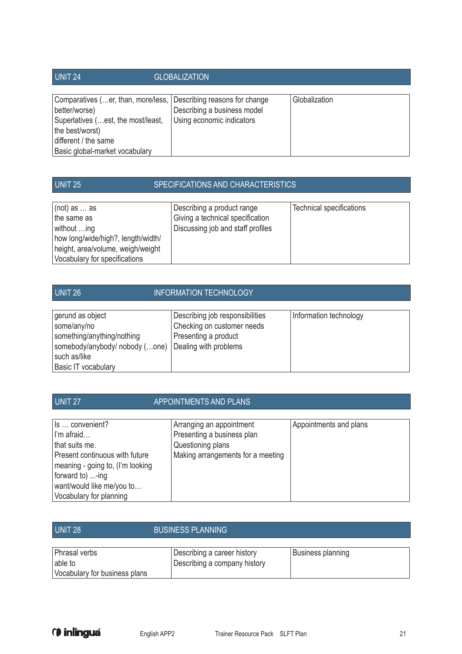| UNIT <sub>24</sub>                                                                                                                                                                                   | <b>GLOBALIZATION</b>                                     |               |
|------------------------------------------------------------------------------------------------------------------------------------------------------------------------------------------------------|----------------------------------------------------------|---------------|
| Comparatives (er, than, more/less, Describing reasons for change<br>better/worse)<br>Superlatives (est, the most/least,<br>the best/worst)<br>different / the same<br>Basic global-market vocabulary | Describing a business model<br>Using economic indicators | Globalization |

## UNIT 25 SPECIFICATIONS AND CHARACTERISTICS

| $ $ (not) as $\ldots$ as<br>the same as<br>without ing<br>how long/wide/high?, length/width/<br>height, area/volume, weigh/weight<br>Vocabulary for specifications | Describing a product range<br>Giving a technical specification<br>Discussing job and staff profiles | Technical specifications |
|--------------------------------------------------------------------------------------------------------------------------------------------------------------------|-----------------------------------------------------------------------------------------------------|--------------------------|
|--------------------------------------------------------------------------------------------------------------------------------------------------------------------|-----------------------------------------------------------------------------------------------------|--------------------------|

| UNIT 26                        | <b>INFORMATION TECHNOLOGY</b>   |                        |
|--------------------------------|---------------------------------|------------------------|
|                                |                                 |                        |
| gerund as object               | Describing job responsibilities | Information technology |
| some/any/no                    | Checking on customer needs      |                        |
| something/anything/nothing     | Presenting a product            |                        |
| somebody/anybody/ nobody (one) | Dealing with problems           |                        |
| such as/like                   |                                 |                        |
| Basic IT vocabulary            |                                 |                        |

| UNIT <sub>27</sub>                                                                                                                                                                                | <b>APPOINTMENTS AND PLANS</b>                                                                                    |                        |
|---------------------------------------------------------------------------------------------------------------------------------------------------------------------------------------------------|------------------------------------------------------------------------------------------------------------------|------------------------|
| Is  convenient?<br>I'm afraid<br>that suits me.<br>Present continuous with future<br>meaning - going to, (I'm looking<br>forward to) -ing<br>want/would like me/you to<br>Vocabulary for planning | Arranging an appointment<br>Presenting a business plan<br>Questioning plans<br>Making arrangements for a meeting | Appointments and plans |

| UNIT 28                                                   | <b>BUSINESS PLANNING</b>                                    |                   |  |
|-----------------------------------------------------------|-------------------------------------------------------------|-------------------|--|
| Phrasal verbs<br>able to<br>Vocabulary for business plans | Describing a career history<br>Describing a company history | Business planning |  |